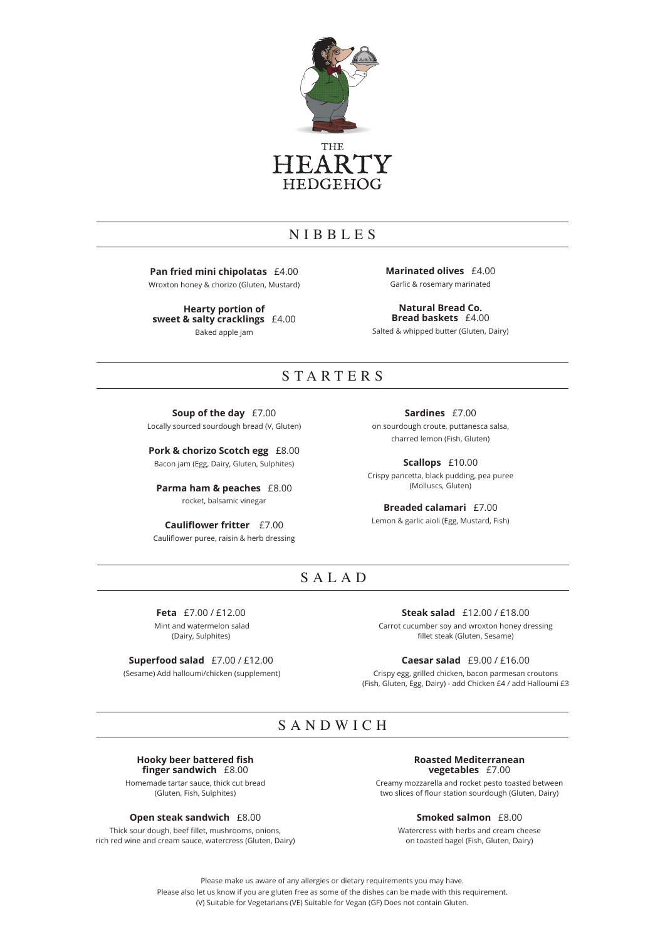

## NIBBLES

**Pan fried mini chipolatas** £4.00

Wroxton honey & chorizo (Gluten, Mustard)

**Hearty portion of sweet & salty cracklings** £4.00 Baked apple jam

**Marinated olives** £4.00 Garlic & rosemary marinated

**Natural Bread Co. Bread baskets** £4.00 Salted & whipped butter (Gluten, Dairy)

### STARTERS

**Soup of the day** £7.00 Locally sourced sourdough bread (V, Gluten)

**Pork & chorizo Scotch egg** £8.00 Bacon jam (Egg, Dairy, Gluten, Sulphites)

**Parma ham & peaches** £8.00 rocket, balsamic vinegar

**Cauliflower fritter** £7.00 Cauliflower puree, raisin & herb dressing

**Sardines** £7.00 on sourdough croute, puttanesca salsa, charred lemon (Fish, Gluten)

**Scallops** £10.00 Crispy pancetta, black pudding, pea puree (Molluscs, Gluten)

**Breaded calamari** £7.00 Lemon & garlic aioli (Egg, Mustard, Fish)

## SALAD

**Feta** £7.00 / £12.00 Mint and watermelon salad (Dairy, Sulphites)

**Superfood salad** £7.00 / £12.00 (Sesame) Add halloumi/chicken (supplement) Carrot cucumber soy and wroxton honey dressing fillet steak (Gluten, Sesame)

**Caesar salad** £9.00 / £16.00

**Steak salad** £12.00 / £18.00

Crispy egg, grilled chicken, bacon parmesan croutons (Fish, Gluten, Egg, Dairy) - add Chicken £4 / add Halloumi £3

## SANDWICH

#### **Hooky beer battered fish finger sandwich** £8.00

Homemade tartar sauce, thick cut bread (Gluten, Fish, Sulphites)

### **Open steak sandwich** £8.00

Thick sour dough, beef fillet, mushrooms, onions, rich red wine and cream sauce, watercress (Gluten, Dairy)

#### **Roasted Mediterranean vegetables** £7.00

Creamy mozzarella and rocket pesto toasted between two slices of flour station sourdough (Gluten, Dairy)

**Smoked salmon** £8.00

Watercress with herbs and cream cheese on toasted bagel (Fish, Gluten, Dairy)

Please make us aware of any allergies or dietary requirements you may have. Please also let us know if you are gluten free as some of the dishes can be made with this requirement. (V) Suitable for Vegetarians (VE) Suitable for Vegan (GF) Does not contain Gluten.